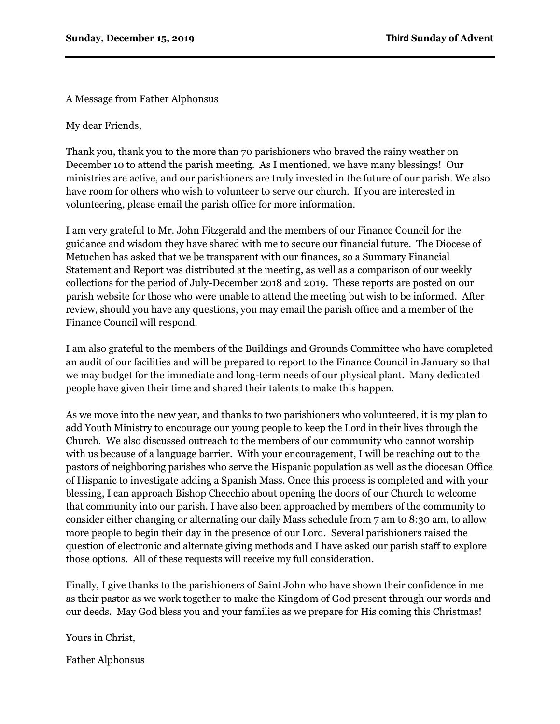A Message from Father Alphonsus

My dear Friends,

Thank you, thank you to the more than 70 parishioners who braved the rainy weather on December 10 to attend the parish meeting. As I mentioned, we have many blessings! Our ministries are active, and our parishioners are truly invested in the future of our parish. We also have room for others who wish to volunteer to serve our church. If you are interested in volunteering, please email the parish office for more information.

I am very grateful to Mr. John Fitzgerald and the members of our Finance Council for the guidance and wisdom they have shared with me to secure our financial future. The Diocese of Metuchen has asked that we be transparent with our finances, so a Summary Financial Statement and Report was distributed at the meeting, as well as a comparison of our weekly collections for the period of July-December 2018 and 2019. These reports are posted on our parish website for those who were unable to attend the meeting but wish to be informed. After review, should you have any questions, you may email the parish office and a member of the Finance Council will respond.

I am also grateful to the members of the Buildings and Grounds Committee who have completed an audit of our facilities and will be prepared to report to the Finance Council in January so that we may budget for the immediate and long-term needs of our physical plant. Many dedicated people have given their time and shared their talents to make this happen.

As we move into the new year, and thanks to two parishioners who volunteered, it is my plan to add Youth Ministry to encourage our young people to keep the Lord in their lives through the Church. We also discussed outreach to the members of our community who cannot worship with us because of a language barrier. With your encouragement, I will be reaching out to the pastors of neighboring parishes who serve the Hispanic population as well as the diocesan Office of Hispanic to investigate adding a Spanish Mass. Once this process is completed and with your blessing, I can approach Bishop Checchio about opening the doors of our Church to welcome that community into our parish. I have also been approached by members of the community to consider either changing or alternating our daily Mass schedule from 7 am to 8:30 am, to allow more people to begin their day in the presence of our Lord. Several parishioners raised the question of electronic and alternate giving methods and I have asked our parish staff to explore those options. All of these requests will receive my full consideration.

Finally, I give thanks to the parishioners of Saint John who have shown their confidence in me as their pastor as we work together to make the Kingdom of God present through our words and our deeds. May God bless you and your families as we prepare for His coming this Christmas!

Yours in Christ,

Father Alphonsus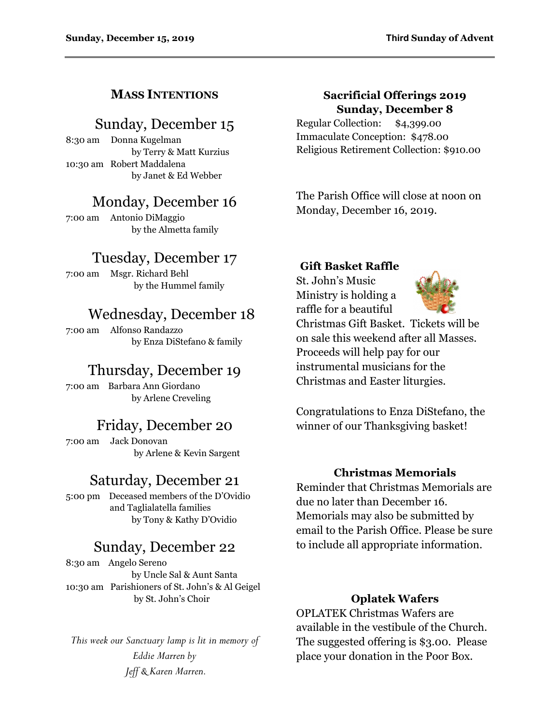### **MASS INTENTIONS**

## Sunday, December 15

8:30 am Donna Kugelman by Terry & Matt Kurzius 10:30 am Robert Maddalena by Janet & Ed Webber

## Monday, December 16

7:00 am Antonio DiMaggio by the Almetta family

# Tuesday, December 17

7:00 am Msgr. Richard Behl by the Hummel family

# Wednesday, December 18

7:00 am Alfonso Randazzo by Enza DiStefano & family

# Thursday, December 19

7:00 am Barbara Ann Giordano by Arlene Creveling

## Friday, December 20

7:00 am Jack Donovan by Arlene & Kevin Sargent

### Saturday, December 21

5:00 pm Deceased members of the D'Ovidio and Taglialatella families by Tony & Kathy D'Ovidio

# Sunday, December 22

8:30 am Angelo Sereno by Uncle Sal & Aunt Santa 10:30 am Parishioners of St. John's & Al Geigel by St. John's Choir

*This week our Sanctuary lamp is lit in memory of Eddie Marren by Jeff & Karen Marren.*

#### **Sacrificial Offerings 2019 Sunday, December 8**

Regular Collection: \$4,399.00 Immaculate Conception: \$478.00 Religious Retirement Collection: \$910.00

The Parish Office will close at noon on Monday, December 16, 2019.

#### **Gift Basket Raffle**

St. John's Music Ministry is holding a raffle for a beautiful



Christmas Gift Basket. Tickets will be on sale this weekend after all Masses. Proceeds will help pay for our instrumental musicians for the Christmas and Easter liturgies.

Congratulations to Enza DiStefano, the winner of our Thanksgiving basket!

#### **Christmas Memorials**

Reminder that Christmas Memorials are due no later than December 16. Memorials may also be submitted by email to the Parish Office. Please be sure to include all appropriate information.

#### **Oplatek Wafers**

OPLATEK Christmas Wafers are available in the vestibule of the Church. The suggested offering is \$3.00. Please place your donation in the Poor Box.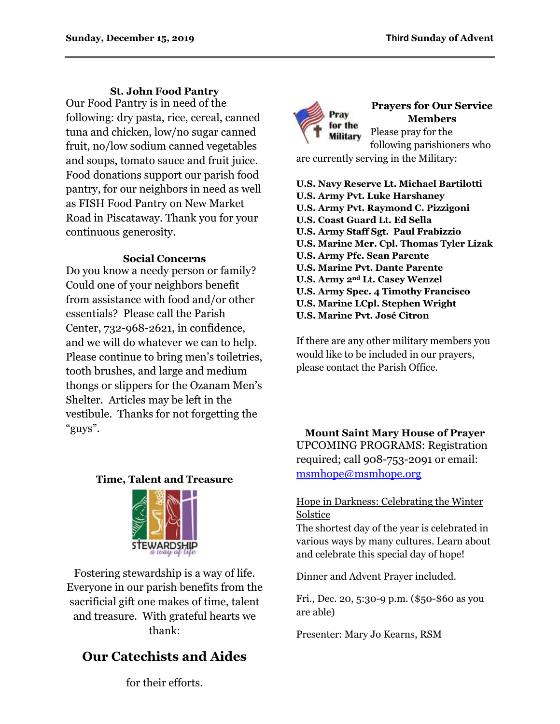#### **St. John Food Pantry**

Our Food Pantry is in need of the following: dry pasta, rice, cereal, canned tuna and chicken, low/no sugar canned fruit, no/low sodium canned vegetables and soups, tomato sauce and fruit juice. Food donations support our parish food pantry, for our neighbors in need as well as FISH Food Pantry on New Market Road in Piscataway. Thank you for your continuous generosity.

#### **Social Concerns**

Do you know a needy person or family? Could one of your neighbors benefit from assistance with food and/or other essentials? Please call the Parish Center, 732-968-2621, in confidence, and we will do whatever we can to help. Please continue to bring men's toiletries, tooth brushes, and large and medium thongs or slippers for the Ozanam Men's Shelter. Articles may be left in the vestibule. Thanks for not forgetting the "guys".

#### **Time, Talent and Treasure**



Fostering stewardship is a way of life. Everyone in our parish benefits from the sacrificial gift one makes of time, talent and treasure. With grateful hearts we thank:

# **Our Catechists and Aides**



**Prayers for Our Service Members** Please pray for the following parishioners who

are currently serving in the Military:

- **U.S. Navy Reserve Lt. Michael Bartilotti U.S. Army Pvt. Luke Harshaney U.S. Army Pvt. Raymond C. Pizzigoni U.S. Coast Guard Lt. Ed Sella U.S. Army Staff Sgt. Paul Frabizzio U.S. Marine Mer. Cpl. Thomas Tyler Lizak U.S. Army Pfc. Sean Parente U.S. Marine Pvt. Dante Parente U.S. Army 2nd Lt. Casey Wenzel U.S. Army Spec. 4 Timothy Francisco U.S. Marine LCpl. Stephen Wright**
- **U.S. Marine Pvt. José Citron**

If there are any other military members you would like to be included in our prayers, please contact the Parish Office.

**Mount Saint Mary House of Prayer** UPCOMING PROGRAMS: Registration required; call 908-753-2091 or email: [msmhope@msmhope.org](mailto:msmhope@msmhope.org)

#### Hope in Darkness: Celebrating the Winter Solstice

The shortest day of the year is celebrated in various ways by many cultures. Learn about and celebrate this special day of hope!

Dinner and Advent Prayer included.

Fri., Dec. 20, 5:30-9 p.m. (\$50-\$60 as you are able)

Presenter: Mary Jo Kearns, RSM

for their efforts.